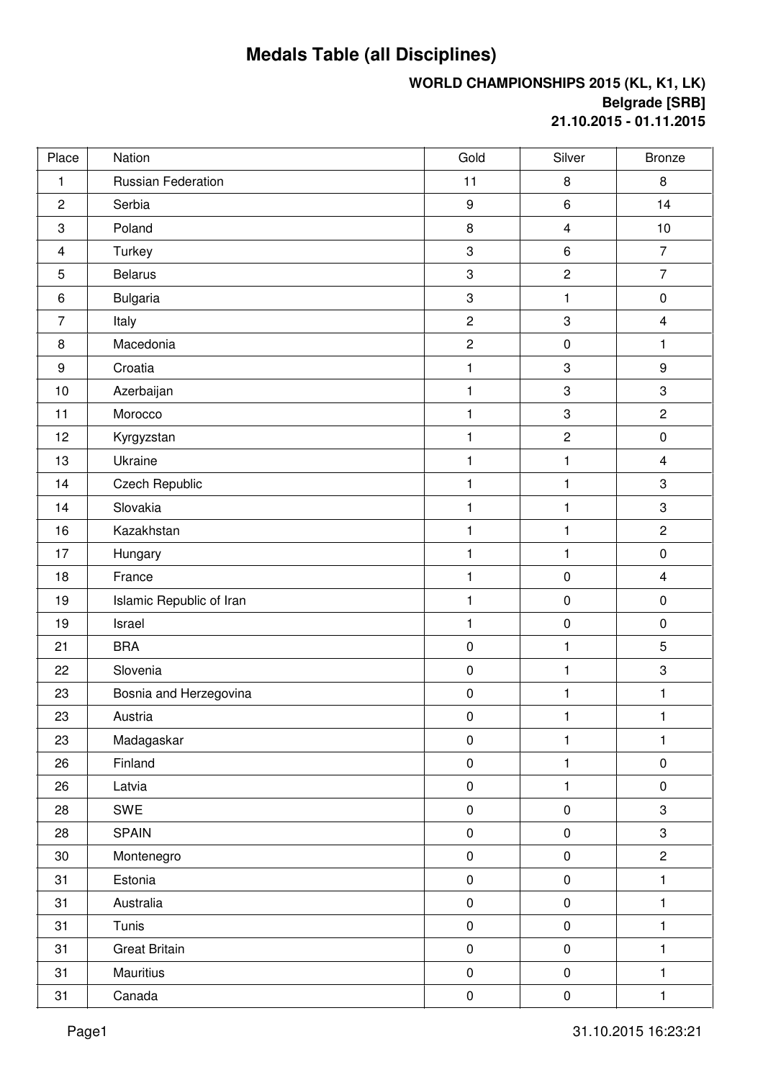## **Medals Table (all Disciplines)**

## **WORLD CHAMPIONSHIPS 2015 (KL, K1, LK) Belgrade [SRB] 21.10.2015 - 01.11.2015**

| Place           | Nation                   | Gold                      | Silver                    | <b>Bronze</b>           |
|-----------------|--------------------------|---------------------------|---------------------------|-------------------------|
| $\mathbf{1}$    | Russian Federation       | 11                        | 8                         | 8                       |
| $\overline{2}$  | Serbia                   | $\boldsymbol{9}$          | $\,6$                     | 14                      |
| 3               | Poland                   | 8                         | $\overline{\mathbf{4}}$   | 10                      |
| 4               | Turkey                   | 3                         | $\,6\,$                   | $\overline{7}$          |
| 5               | <b>Belarus</b>           | $\ensuremath{\mathsf{3}}$ | $\overline{c}$            | $\overline{7}$          |
| $6\phantom{1}6$ | Bulgaria                 | $\ensuremath{\mathsf{3}}$ | 1                         | $\pmb{0}$               |
| $\overline{7}$  | Italy                    | $\mathbf 2$               | $\ensuremath{\mathsf{3}}$ | $\overline{\mathbf{4}}$ |
| 8               | Macedonia                | $\overline{2}$            | $\pmb{0}$                 | $\mathbf{1}$            |
| 9               | Croatia                  | 1                         | $\ensuremath{\mathsf{3}}$ | $\boldsymbol{9}$        |
| 10              | Azerbaijan               | 1                         | $\ensuremath{\mathsf{3}}$ | 3                       |
| 11              | Morocco                  | 1                         | $\ensuremath{\mathsf{3}}$ | $\overline{2}$          |
| 12              | Kyrgyzstan               | $\mathbf{1}$              | $\mathbf 2$               | $\pmb{0}$               |
| 13              | Ukraine                  | 1                         | $\mathbf{1}$              | $\overline{4}$          |
| 14              | <b>Czech Republic</b>    | 1                         | $\mathbf{1}$              | 3                       |
| 14              | Slovakia                 | 1                         | $\mathbf{1}$              | 3                       |
| 16              | Kazakhstan               | 1                         | 1                         | $\overline{2}$          |
| 17              | Hungary                  | 1                         | 1                         | $\pmb{0}$               |
| 18              | France                   | $\mathbf{1}$              | $\pmb{0}$                 | $\overline{4}$          |
| 19              | Islamic Republic of Iran | 1                         | $\pmb{0}$                 | $\pmb{0}$               |
| 19              | Israel                   | 1                         | $\pmb{0}$                 | $\pmb{0}$               |
| 21              | <b>BRA</b>               | $\pmb{0}$                 | 1                         | $\sqrt{5}$              |
| 22              | Slovenia                 | $\pmb{0}$                 | $\mathbf{1}$              | 3                       |
| 23              | Bosnia and Herzegovina   | $\pmb{0}$                 | $\mathbf{1}$              | 1                       |
| 23              | Austria                  | $\pmb{0}$                 | 1                         | 1                       |
| 23              | Madagaskar               | $\pmb{0}$                 | $\mathbf{1}$              | $\mathbf{1}$            |
| 26              | Finland                  | $\pmb{0}$                 | $\mathbf{1}$              | $\pmb{0}$               |
| 26              | Latvia                   | $\pmb{0}$                 | $\mathbf{1}$              | $\pmb{0}$               |
| 28              | SWE                      | $\pmb{0}$                 | $\pmb{0}$                 | 3                       |
| 28              | <b>SPAIN</b>             | $\pmb{0}$                 | $\pmb{0}$                 | 3                       |
| 30              | Montenegro               | $\pmb{0}$                 | $\pmb{0}$                 | $\overline{c}$          |
| 31              | Estonia                  | $\pmb{0}$                 | $\pmb{0}$                 | 1                       |
| 31              | Australia                | $\pmb{0}$                 | $\pmb{0}$                 | 1                       |
| 31              | Tunis                    | $\pmb{0}$                 | $\pmb{0}$                 | $\mathbf{1}$            |
| 31              | <b>Great Britain</b>     | $\pmb{0}$                 | $\pmb{0}$                 | 1                       |
| 31              | Mauritius                | $\pmb{0}$                 | $\pmb{0}$                 | $\mathbf{1}$            |
| 31              | Canada                   | $\pmb{0}$                 | $\pmb{0}$                 | $\mathbf{1}$            |